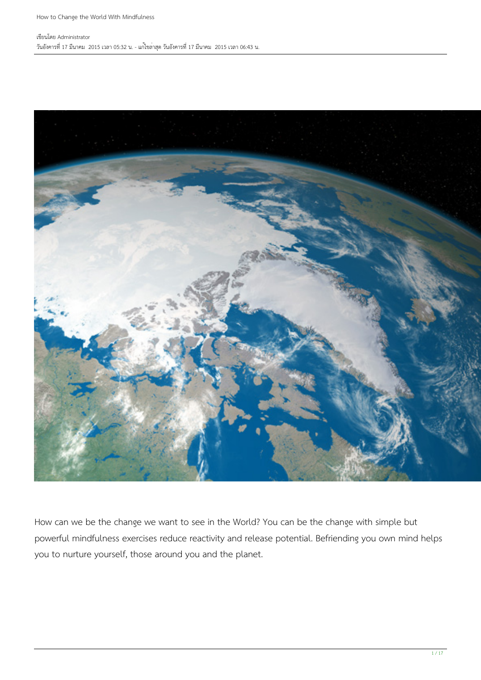#### เขียนโดย Administrator วันอังคารที่ 17 มีนาคม 2015 เวลา 05:32 น. - แก้ไขล่าสุด วันอังคารที่ 17 มีนาคม 2015 เวลา 06:43 น.



How can we be the change we want to see in the World? You can be the change with simple but powerful mindfulness exercises reduce reactivity and release potential. Befriending you own mind helps you to nurture yourself, those around you and the planet.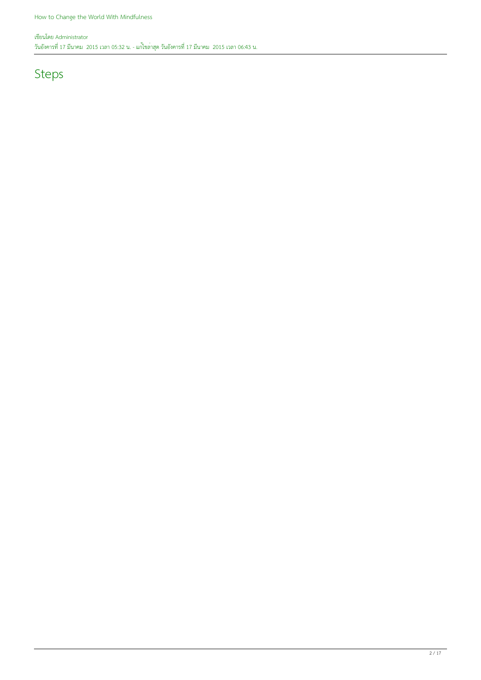#### Steps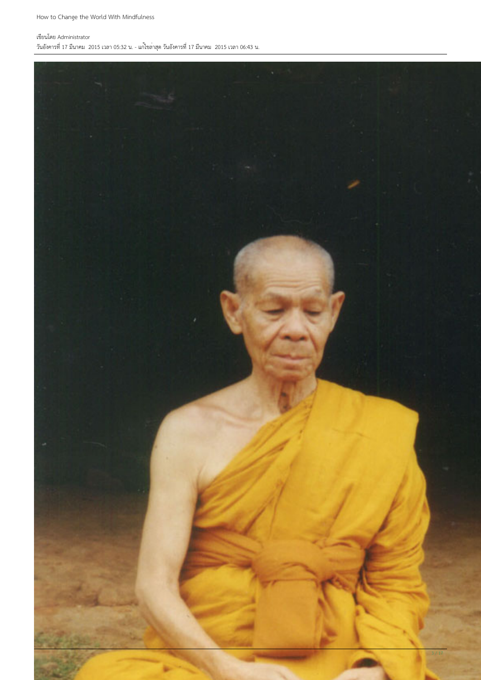How to Change the World With Mindfulness

#### เขียนโดย Administrator

วันอังคารที่ 17 มีนาคม 2015 เวลา 05:32 น. - แก้ไขล่าสุด วันอังคารที่ 17 มีนาคม 2015 เวลา 06:43 น.

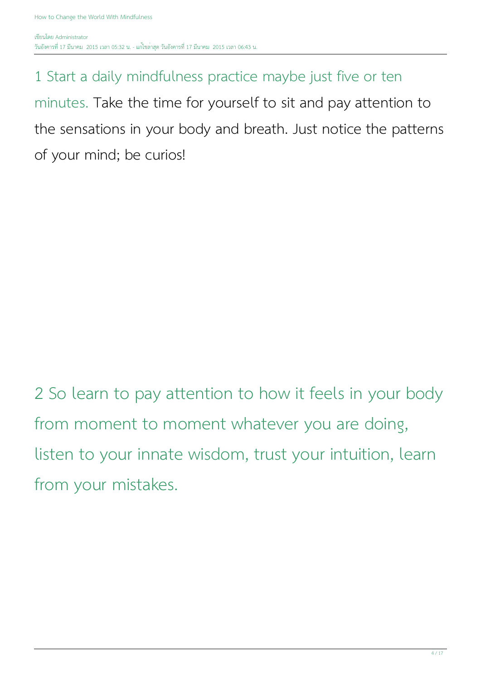#### 1 Start a daily mindfulness practice maybe just five or ten

minutes. Take the time for yourself to sit and pay attention to the sensations in your body and breath. Just notice the patterns of your mind; be curios!

2 So learn to pay attention to how it feels in your body from moment to moment whatever you are doing, listen to your innate wisdom, trust your intuition, learn from your mistakes.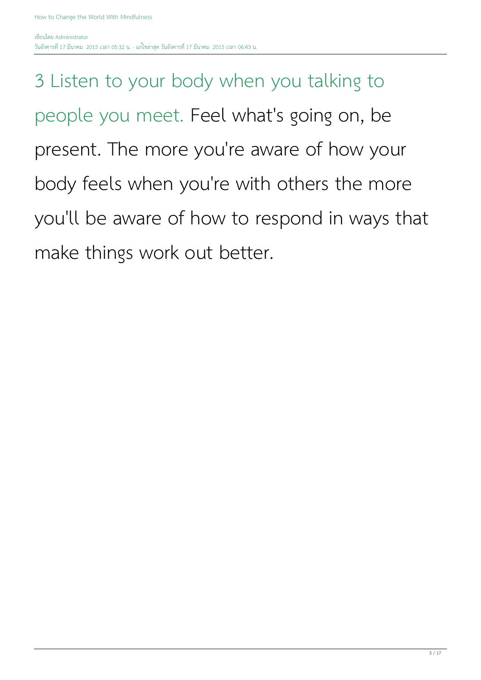3 Listen to your body when you talking to people you meet. Feel what's going on, be present. The more you're aware of how your body feels when you're with others the more you'll be aware of how to respond in ways that make things work out better.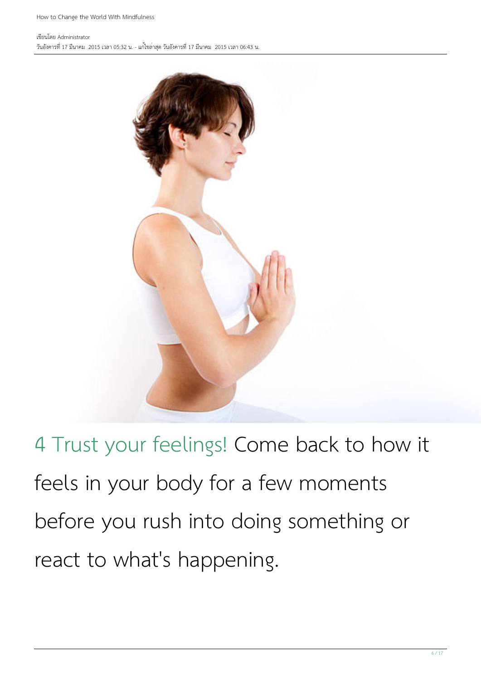

4 Trust your feelings! Come back to how it feels in your body for a few moments before you rush into doing something or react to what's happening.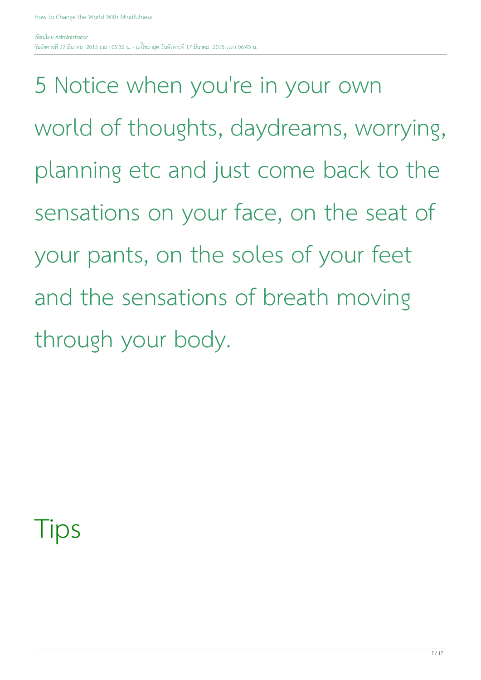5 Notice when you're in your own world of thoughts, daydreams, worrying, planning etc and just come back to the sensations on your face, on the seat of your pants, on the soles of your feet and the sensations of breath moving through your body.

### Tips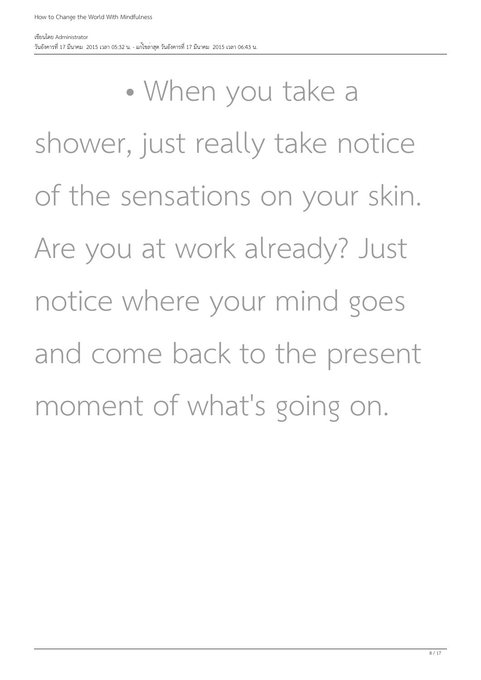# • When you take a shower, just really take notice of the sensations on your skin. Are you at work already? Just notice where your mind goes and come back to the present moment of what's going on.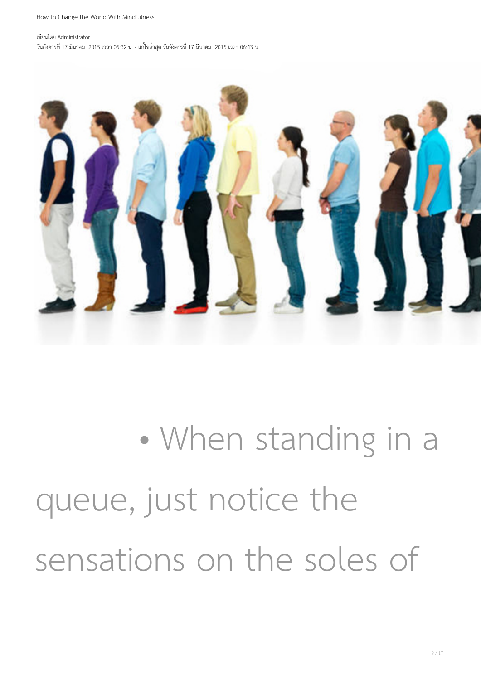

# • When standing in a queue, just notice the sensations on the soles of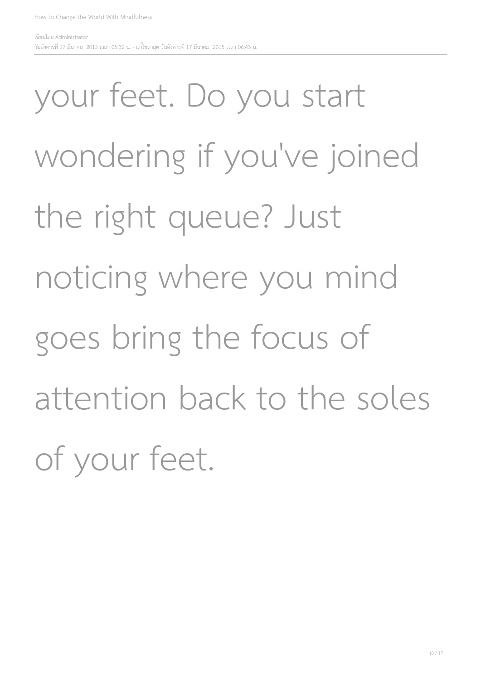your feet. Do you start wondering if you've joined the right queue? Just noticing where you mind goes bring the focus of attention back to the soles of your feet.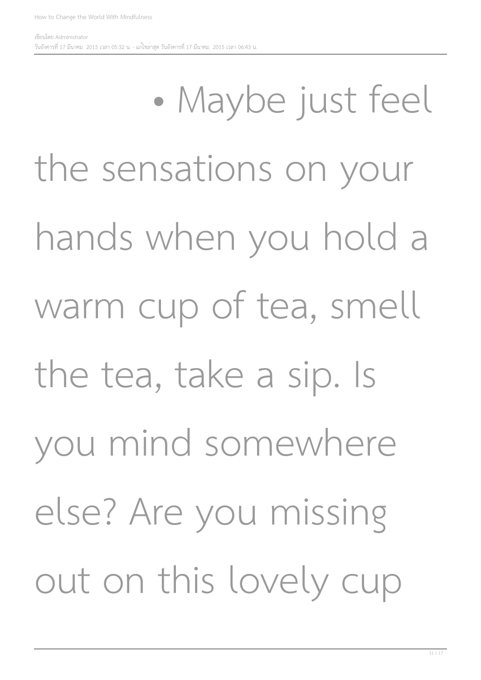## • Maybe just feel

the sensations on your hands when you hold a warm cup of tea, smell the tea, take a sip. Is you mind somewhere else? Are you missing out on this lovely cup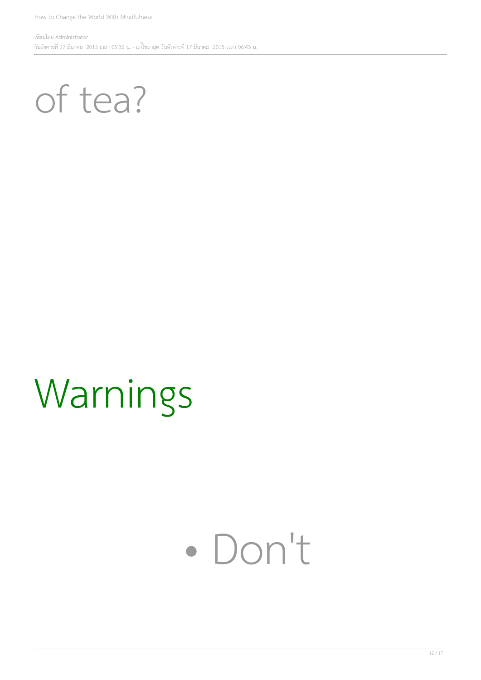### of tea?

### Warnings

### • Don't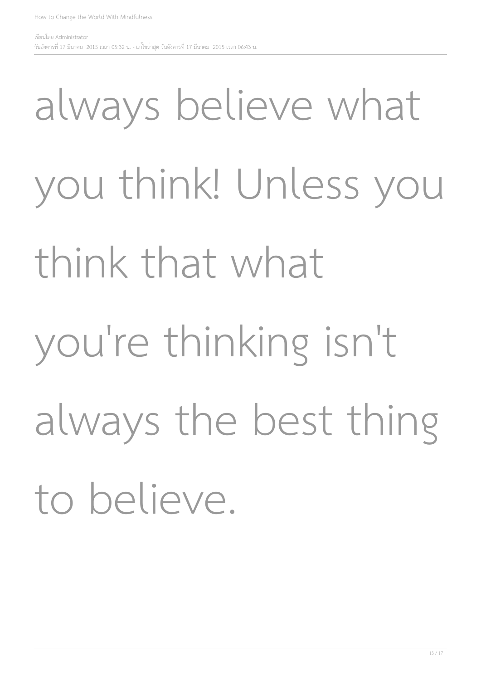# always believe what you think! Unless you think that what you're thinking isn't always the best thing to believe.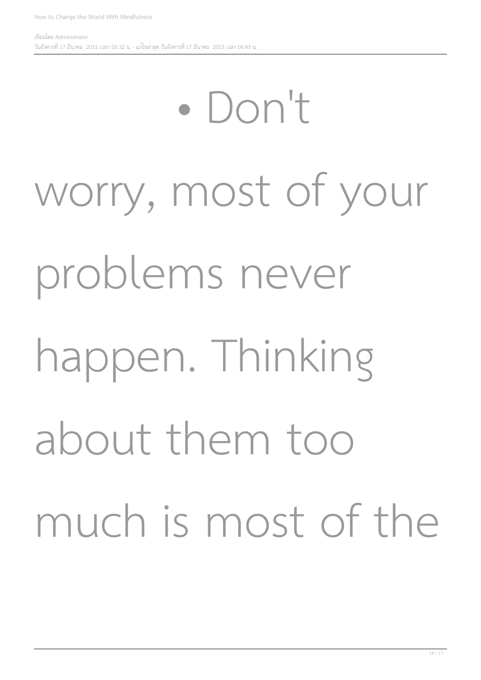# • Don't worry, most of your problems never happen. Thinking about them too much is most of the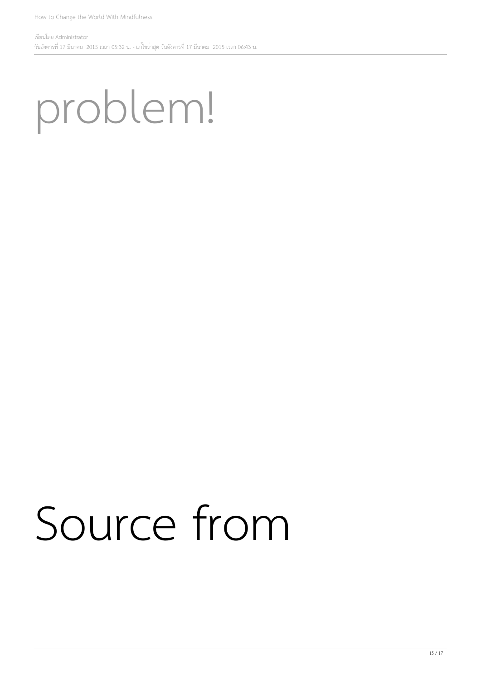# problem!

# Source from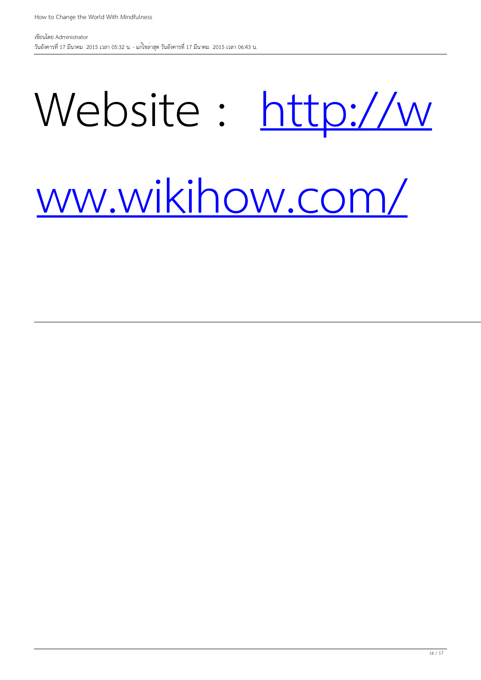# Website : [http://w](http://www.wikihow.com/)

## [ww.wikihow.com/](http://www.wikihow.com/)